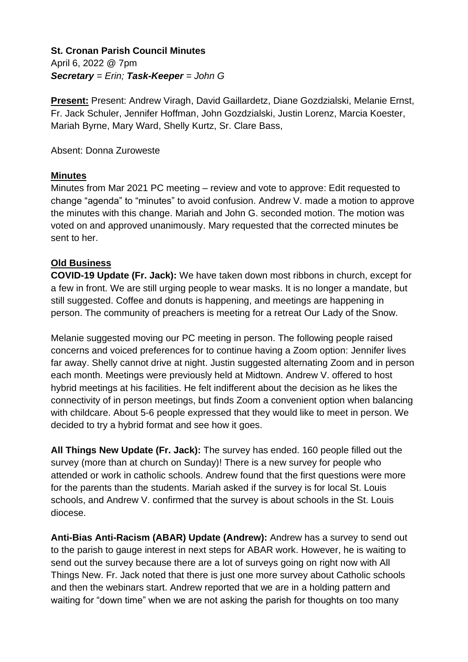### **St. Cronan Parish Council Minutes** April 6, 2022 @ 7pm *Secretary = Erin; Task-Keeper = John G*

**Present:** Present: Andrew Viragh, David Gaillardetz, Diane Gozdzialski, Melanie Ernst, Fr. Jack Schuler, Jennifer Hoffman, John Gozdzialski, Justin Lorenz, Marcia Koester, Mariah Byrne, Mary Ward, Shelly Kurtz, Sr. Clare Bass,

### Absent: Donna Zuroweste

### **Minutes**

Minutes from Mar 2021 PC meeting – review and vote to approve: Edit requested to change "agenda" to "minutes" to avoid confusion. Andrew V. made a motion to approve the minutes with this change. Mariah and John G. seconded motion. The motion was voted on and approved unanimously. Mary requested that the corrected minutes be sent to her.

# **Old Business**

**COVID-19 Update (Fr. Jack):** We have taken down most ribbons in church, except for a few in front. We are still urging people to wear masks. It is no longer a mandate, but still suggested. Coffee and donuts is happening, and meetings are happening in person. The community of preachers is meeting for a retreat Our Lady of the Snow.

Melanie suggested moving our PC meeting in person. The following people raised concerns and voiced preferences for to continue having a Zoom option: Jennifer lives far away. Shelly cannot drive at night. Justin suggested alternating Zoom and in person each month. Meetings were previously held at Midtown. Andrew V. offered to host hybrid meetings at his facilities. He felt indifferent about the decision as he likes the connectivity of in person meetings, but finds Zoom a convenient option when balancing with childcare. About 5-6 people expressed that they would like to meet in person. We decided to try a hybrid format and see how it goes.

**All Things New Update (Fr. Jack):** The survey has ended. 160 people filled out the survey (more than at church on Sunday)! There is a new survey for people who attended or work in catholic schools. Andrew found that the first questions were more for the parents than the students. Mariah asked if the survey is for local St. Louis schools, and Andrew V. confirmed that the survey is about schools in the St. Louis diocese.

**Anti-Bias Anti-Racism (ABAR) Update (Andrew):** Andrew has a survey to send out to the parish to gauge interest in next steps for ABAR work. However, he is waiting to send out the survey because there are a lot of surveys going on right now with All Things New. Fr. Jack noted that there is just one more survey about Catholic schools and then the webinars start. Andrew reported that we are in a holding pattern and waiting for "down time" when we are not asking the parish for thoughts on too many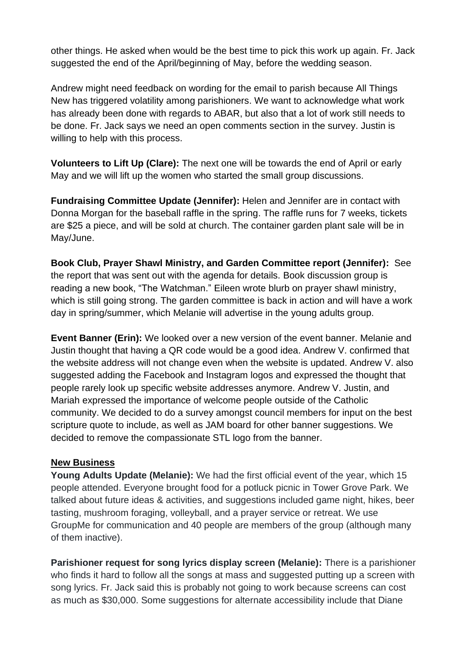other things. He asked when would be the best time to pick this work up again. Fr. Jack suggested the end of the April/beginning of May, before the wedding season.

Andrew might need feedback on wording for the email to parish because All Things New has triggered volatility among parishioners. We want to acknowledge what work has already been done with regards to ABAR, but also that a lot of work still needs to be done. Fr. Jack says we need an open comments section in the survey. Justin is willing to help with this process.

**Volunteers to Lift Up (Clare):** The next one will be towards the end of April or early May and we will lift up the women who started the small group discussions.

**Fundraising Committee Update (Jennifer):** Helen and Jennifer are in contact with Donna Morgan for the baseball raffle in the spring. The raffle runs for 7 weeks, tickets are \$25 a piece, and will be sold at church. The container garden plant sale will be in May/June.

**Book Club, Prayer Shawl Ministry, and Garden Committee report (Jennifer):** See the report that was sent out with the agenda for details. Book discussion group is reading a new book, "The Watchman." Eileen wrote blurb on prayer shawl ministry, which is still going strong. The garden committee is back in action and will have a work day in spring/summer, which Melanie will advertise in the young adults group.

**Event Banner (Erin):** We looked over a new version of the event banner. Melanie and Justin thought that having a QR code would be a good idea. Andrew V. confirmed that the website address will not change even when the website is updated. Andrew V. also suggested adding the Facebook and Instagram logos and expressed the thought that people rarely look up specific website addresses anymore. Andrew V. Justin, and Mariah expressed the importance of welcome people outside of the Catholic community. We decided to do a survey amongst council members for input on the best scripture quote to include, as well as JAM board for other banner suggestions. We decided to remove the compassionate STL logo from the banner.

#### **New Business**

**Young Adults Update (Melanie):** We had the first official event of the year, which 15 people attended. Everyone brought food for a potluck picnic in Tower Grove Park. We talked about future ideas & activities, and suggestions included game night, hikes, beer tasting, mushroom foraging, volleyball, and a prayer service or retreat. We use GroupMe for communication and 40 people are members of the group (although many of them inactive).

**Parishioner request for song lyrics display screen (Melanie):** There is a parishioner who finds it hard to follow all the songs at mass and suggested putting up a screen with song lyrics. Fr. Jack said this is probably not going to work because screens can cost as much as \$30,000. Some suggestions for alternate accessibility include that Diane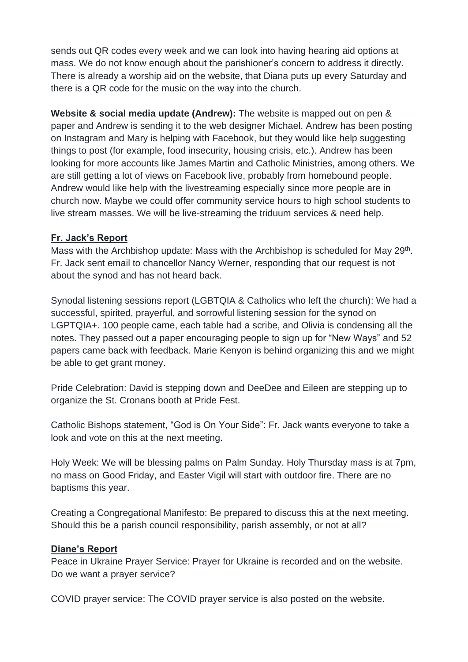sends out QR codes every week and we can look into having hearing aid options at mass. We do not know enough about the parishioner's concern to address it directly. There is already a worship aid on the website, that Diana puts up every Saturday and there is a QR code for the music on the way into the church.

**Website & social media update (Andrew):** The website is mapped out on pen & paper and Andrew is sending it to the web designer Michael. Andrew has been posting on Instagram and Mary is helping with Facebook, but they would like help suggesting things to post (for example, food insecurity, housing crisis, etc.). Andrew has been looking for more accounts like James Martin and Catholic Ministries, among others. We are still getting a lot of views on Facebook live, probably from homebound people. Andrew would like help with the livestreaming especially since more people are in church now. Maybe we could offer community service hours to high school students to live stream masses. We will be live-streaming the triduum services & need help.

### **Fr. Jack's Report**

Mass with the Archbishop update: Mass with the Archbishop is scheduled for May 29<sup>th</sup>. Fr. Jack sent email to chancellor Nancy Werner, responding that our request is not about the synod and has not heard back.

Synodal listening sessions report (LGBTQIA & Catholics who left the church): We had a successful, spirited, prayerful, and sorrowful listening session for the synod on LGPTQIA+. 100 people came, each table had a scribe, and Olivia is condensing all the notes. They passed out a paper encouraging people to sign up for "New Ways" and 52 papers came back with feedback. Marie Kenyon is behind organizing this and we might be able to get grant money.

Pride Celebration: David is stepping down and DeeDee and Eileen are stepping up to organize the St. Cronans booth at Pride Fest.

Catholic Bishops statement, "God is On Your Side": Fr. Jack wants everyone to take a look and vote on this at the next meeting.

Holy Week: We will be blessing palms on Palm Sunday. Holy Thursday mass is at 7pm, no mass on Good Friday, and Easter Vigil will start with outdoor fire. There are no baptisms this year.

Creating a Congregational Manifesto: Be prepared to discuss this at the next meeting. Should this be a parish council responsibility, parish assembly, or not at all?

#### **Diane's Report**

Peace in Ukraine Prayer Service: Prayer for Ukraine is recorded and on the website. Do we want a prayer service?

COVID prayer service: The COVID prayer service is also posted on the website.